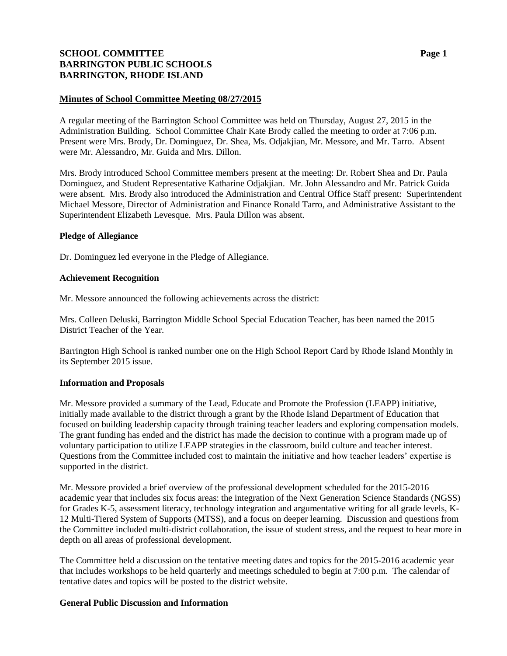# **SCHOOL COMMITTEE Page 1 BARRINGTON PUBLIC SCHOOLS BARRINGTON, RHODE ISLAND**

## **Minutes of School Committee Meeting 08/27/2015**

A regular meeting of the Barrington School Committee was held on Thursday, August 27, 2015 in the Administration Building. School Committee Chair Kate Brody called the meeting to order at 7:06 p.m. Present were Mrs. Brody, Dr. Dominguez, Dr. Shea, Ms. Odjakjian, Mr. Messore, and Mr. Tarro. Absent were Mr. Alessandro, Mr. Guida and Mrs. Dillon.

Mrs. Brody introduced School Committee members present at the meeting: Dr. Robert Shea and Dr. Paula Dominguez, and Student Representative Katharine Odjakjian. Mr. John Alessandro and Mr. Patrick Guida were absent. Mrs. Brody also introduced the Administration and Central Office Staff present: Superintendent Michael Messore, Director of Administration and Finance Ronald Tarro, and Administrative Assistant to the Superintendent Elizabeth Levesque. Mrs. Paula Dillon was absent.

### **Pledge of Allegiance**

Dr. Dominguez led everyone in the Pledge of Allegiance.

### **Achievement Recognition**

Mr. Messore announced the following achievements across the district:

Mrs. Colleen Deluski, Barrington Middle School Special Education Teacher, has been named the 2015 District Teacher of the Year.

Barrington High School is ranked number one on the High School Report Card by Rhode Island Monthly in its September 2015 issue.

### **Information and Proposals**

Mr. Messore provided a summary of the Lead, Educate and Promote the Profession (LEAPP) initiative, initially made available to the district through a grant by the Rhode Island Department of Education that focused on building leadership capacity through training teacher leaders and exploring compensation models. The grant funding has ended and the district has made the decision to continue with a program made up of voluntary participation to utilize LEAPP strategies in the classroom, build culture and teacher interest. Questions from the Committee included cost to maintain the initiative and how teacher leaders' expertise is supported in the district.

Mr. Messore provided a brief overview of the professional development scheduled for the 2015-2016 academic year that includes six focus areas: the integration of the Next Generation Science Standards (NGSS) for Grades K-5, assessment literacy, technology integration and argumentative writing for all grade levels, K-12 Multi-Tiered System of Supports (MTSS), and a focus on deeper learning. Discussion and questions from the Committee included multi-district collaboration, the issue of student stress, and the request to hear more in depth on all areas of professional development.

The Committee held a discussion on the tentative meeting dates and topics for the 2015-2016 academic year that includes workshops to be held quarterly and meetings scheduled to begin at 7:00 p.m. The calendar of tentative dates and topics will be posted to the district website.

### **General Public Discussion and Information**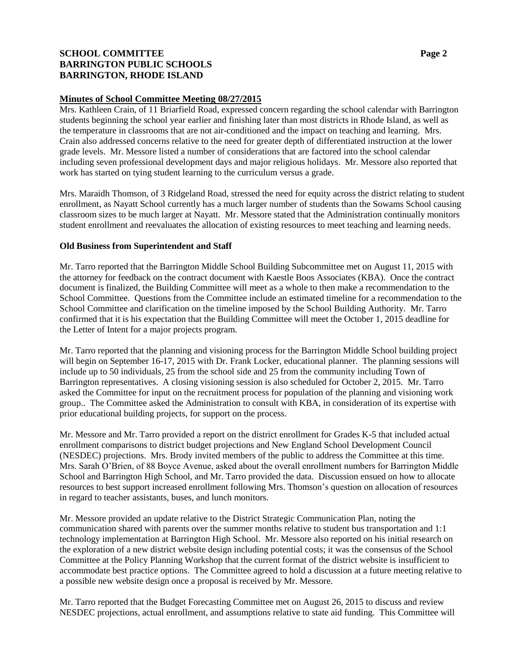# **SCHOOL COMMITTEE Page 2 BARRINGTON PUBLIC SCHOOLS BARRINGTON, RHODE ISLAND**

## **Minutes of School Committee Meeting 08/27/2015**

Mrs. Kathleen Crain, of 11 Briarfield Road, expressed concern regarding the school calendar with Barrington students beginning the school year earlier and finishing later than most districts in Rhode Island, as well as the temperature in classrooms that are not air-conditioned and the impact on teaching and learning. Mrs. Crain also addressed concerns relative to the need for greater depth of differentiated instruction at the lower grade levels. Mr. Messore listed a number of considerations that are factored into the school calendar including seven professional development days and major religious holidays. Mr. Messore also reported that work has started on tying student learning to the curriculum versus a grade.

Mrs. Maraidh Thomson, of 3 Ridgeland Road, stressed the need for equity across the district relating to student enrollment, as Nayatt School currently has a much larger number of students than the Sowams School causing classroom sizes to be much larger at Nayatt. Mr. Messore stated that the Administration continually monitors student enrollment and reevaluates the allocation of existing resources to meet teaching and learning needs.

## **Old Business from Superintendent and Staff**

Mr. Tarro reported that the Barrington Middle School Building Subcommittee met on August 11, 2015 with the attorney for feedback on the contract document with Kaestle Boos Associates (KBA). Once the contract document is finalized, the Building Committee will meet as a whole to then make a recommendation to the School Committee. Questions from the Committee include an estimated timeline for a recommendation to the School Committee and clarification on the timeline imposed by the School Building Authority. Mr. Tarro confirmed that it is his expectation that the Building Committee will meet the October 1, 2015 deadline for the Letter of Intent for a major projects program.

Mr. Tarro reported that the planning and visioning process for the Barrington Middle School building project will begin on September 16-17, 2015 with Dr. Frank Locker, educational planner. The planning sessions will include up to 50 individuals, 25 from the school side and 25 from the community including Town of Barrington representatives. A closing visioning session is also scheduled for October 2, 2015. Mr. Tarro asked the Committee for input on the recruitment process for population of the planning and visioning work group.. The Committee asked the Administration to consult with KBA, in consideration of its expertise with prior educational building projects, for support on the process.

Mr. Messore and Mr. Tarro provided a report on the district enrollment for Grades K-5 that included actual enrollment comparisons to district budget projections and New England School Development Council (NESDEC) projections. Mrs. Brody invited members of the public to address the Committee at this time. Mrs. Sarah O'Brien, of 88 Boyce Avenue, asked about the overall enrollment numbers for Barrington Middle School and Barrington High School, and Mr. Tarro provided the data. Discussion ensued on how to allocate resources to best support increased enrollment following Mrs. Thomson's question on allocation of resources in regard to teacher assistants, buses, and lunch monitors.

Mr. Messore provided an update relative to the District Strategic Communication Plan, noting the communication shared with parents over the summer months relative to student bus transportation and 1:1 technology implementation at Barrington High School. Mr. Messore also reported on his initial research on the exploration of a new district website design including potential costs; it was the consensus of the School Committee at the Policy Planning Workshop that the current format of the district website is insufficient to accommodate best practice options. The Committee agreed to hold a discussion at a future meeting relative to a possible new website design once a proposal is received by Mr. Messore.

Mr. Tarro reported that the Budget Forecasting Committee met on August 26, 2015 to discuss and review NESDEC projections, actual enrollment, and assumptions relative to state aid funding. This Committee will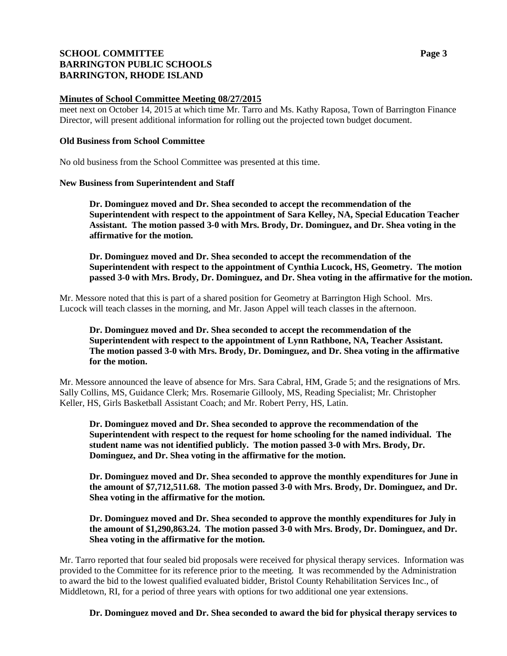# **SCHOOL COMMITTEE Page 3 BARRINGTON PUBLIC SCHOOLS BARRINGTON, RHODE ISLAND**

### **Minutes of School Committee Meeting 08/27/2015**

meet next on October 14, 2015 at which time Mr. Tarro and Ms. Kathy Raposa, Town of Barrington Finance Director, will present additional information for rolling out the projected town budget document.

### **Old Business from School Committee**

No old business from the School Committee was presented at this time.

### **New Business from Superintendent and Staff**

**Dr. Dominguez moved and Dr. Shea seconded to accept the recommendation of the Superintendent with respect to the appointment of Sara Kelley, NA, Special Education Teacher Assistant. The motion passed 3-0 with Mrs. Brody, Dr. Dominguez, and Dr. Shea voting in the affirmative for the motion.**

**Dr. Dominguez moved and Dr. Shea seconded to accept the recommendation of the Superintendent with respect to the appointment of Cynthia Lucock, HS, Geometry. The motion passed 3-0 with Mrs. Brody, Dr. Dominguez, and Dr. Shea voting in the affirmative for the motion.**

Mr. Messore noted that this is part of a shared position for Geometry at Barrington High School. Mrs. Lucock will teach classes in the morning, and Mr. Jason Appel will teach classes in the afternoon.

## **Dr. Dominguez moved and Dr. Shea seconded to accept the recommendation of the Superintendent with respect to the appointment of Lynn Rathbone, NA, Teacher Assistant. The motion passed 3-0 with Mrs. Brody, Dr. Dominguez, and Dr. Shea voting in the affirmative for the motion.**

Mr. Messore announced the leave of absence for Mrs. Sara Cabral, HM, Grade 5; and the resignations of Mrs. Sally Collins, MS, Guidance Clerk; Mrs. Rosemarie Gillooly, MS, Reading Specialist; Mr. Christopher Keller, HS, Girls Basketball Assistant Coach; and Mr. Robert Perry, HS, Latin.

**Dr. Dominguez moved and Dr. Shea seconded to approve the recommendation of the Superintendent with respect to the request for home schooling for the named individual. The student name was not identified publicly. The motion passed 3-0 with Mrs. Brody, Dr. Dominguez, and Dr. Shea voting in the affirmative for the motion.**

**Dr. Dominguez moved and Dr. Shea seconded to approve the monthly expenditures for June in the amount of \$7,712,511.68. The motion passed 3-0 with Mrs. Brody, Dr. Dominguez, and Dr. Shea voting in the affirmative for the motion.**

**Dr. Dominguez moved and Dr. Shea seconded to approve the monthly expenditures for July in the amount of \$1,290,863.24. The motion passed 3-0 with Mrs. Brody, Dr. Dominguez, and Dr. Shea voting in the affirmative for the motion.**

Mr. Tarro reported that four sealed bid proposals were received for physical therapy services. Information was provided to the Committee for its reference prior to the meeting. It was recommended by the Administration to award the bid to the lowest qualified evaluated bidder, Bristol County Rehabilitation Services Inc., of Middletown, RI, for a period of three years with options for two additional one year extensions.

**Dr. Dominguez moved and Dr. Shea seconded to award the bid for physical therapy services to**